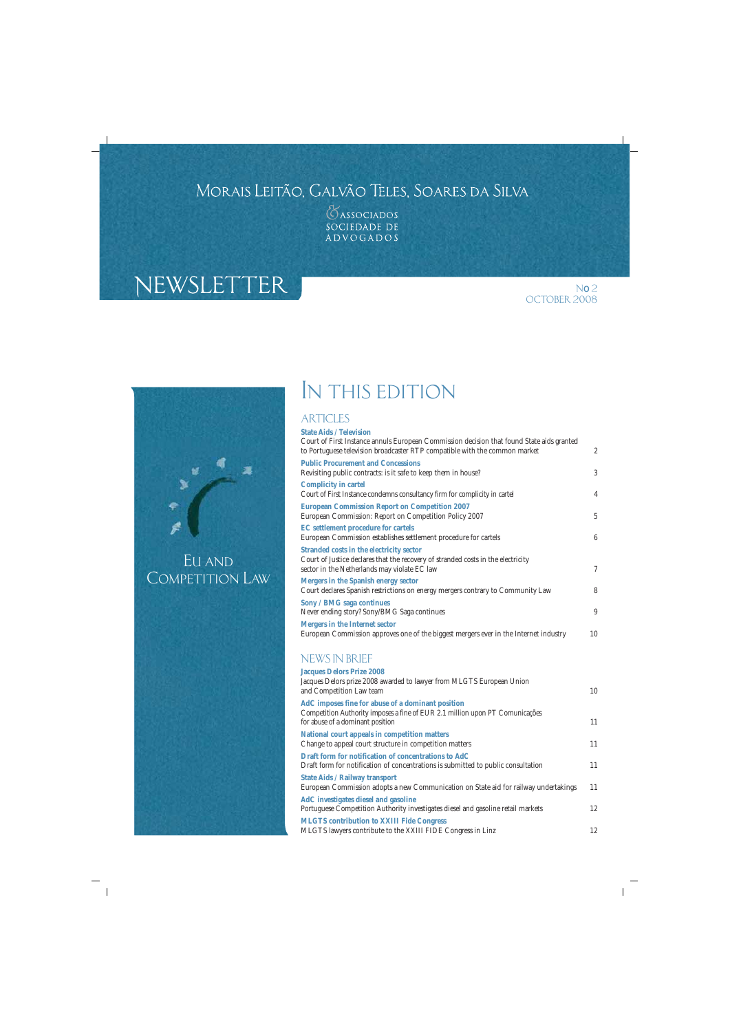### Morais Leitão, Galvão Teles, Soares da Silva

GASSOCIADOS SOCIEDADE DE **ADVOGADOS** 

# NEWSLETTER

#### No 2 OCTOBER 2008

### Eu and Competition Law

# In this edition

#### **ARTICLES**

#### **State Aids / Television** Court of First Instance annuls European Commission decision that found State aids granted to Portuguese television broadcaster RTP compatible with the common market 2 **Public Procurement and Concessions** Revisiting public contracts: is it safe to keep them in house? 3 **Complicity in cartel** Court of First Instance condemns consultancy firm for complicity in cartel 4 **European Commission Report on Competition 2007** European Commission: Report on Competition Policy 2007 5 **EC settlement procedure for cartels** European Commission establishes settlement procedure for cartels 6 **Stranded costs in the electricity sector** Court of Justice declares that the recovery of stranded costs in the electricity sector in the Netherlands may violate EC law 7 **Mergers in the Spanish energy sector** Court declares Spanish restrictions on energy mergers contrary to Community Law 8 **Sony / BMG saga continues** Never ending story? Sony/BMG Saga continues 9 **Mergers in the Internet sector**

European Commission approves one of the biggest mergers ever in the Internet industry 10

### NEWS IN BRIEF

| <b>Jacques Delors Prize 2008</b><br>Jacques Delors prize 2008 awarded to lawyer from MLGTS European Union<br>and Competition Law team                                 | 10 |
|-----------------------------------------------------------------------------------------------------------------------------------------------------------------------|----|
| AdC imposes fine for abuse of a dominant position<br>Competition Authority imposes a fine of EUR 2.1 million upon PT Comunicações<br>for abuse of a dominant position | 11 |
| <b>National court appeals in competition matters</b><br>Change to appeal court structure in competition matters                                                       | 11 |
| Draft form for notification of concentrations to AdC<br>Draft form for notification of concentrations is submitted to public consultation                             | 11 |
| <b>State Aids / Railway transport</b><br>European Commission adopts a new Communication on State aid for railway undertakings                                         | 11 |
| AdC investigates diesel and gasoline<br>Portuguese Competition Authority investigates diesel and gasoline retail markets                                              | 12 |
| <b>MLGTS contribution to XXIII Fide Congress</b><br>MLGTS lawyers contribute to the XXIII FIDE Congress in Linz                                                       | 12 |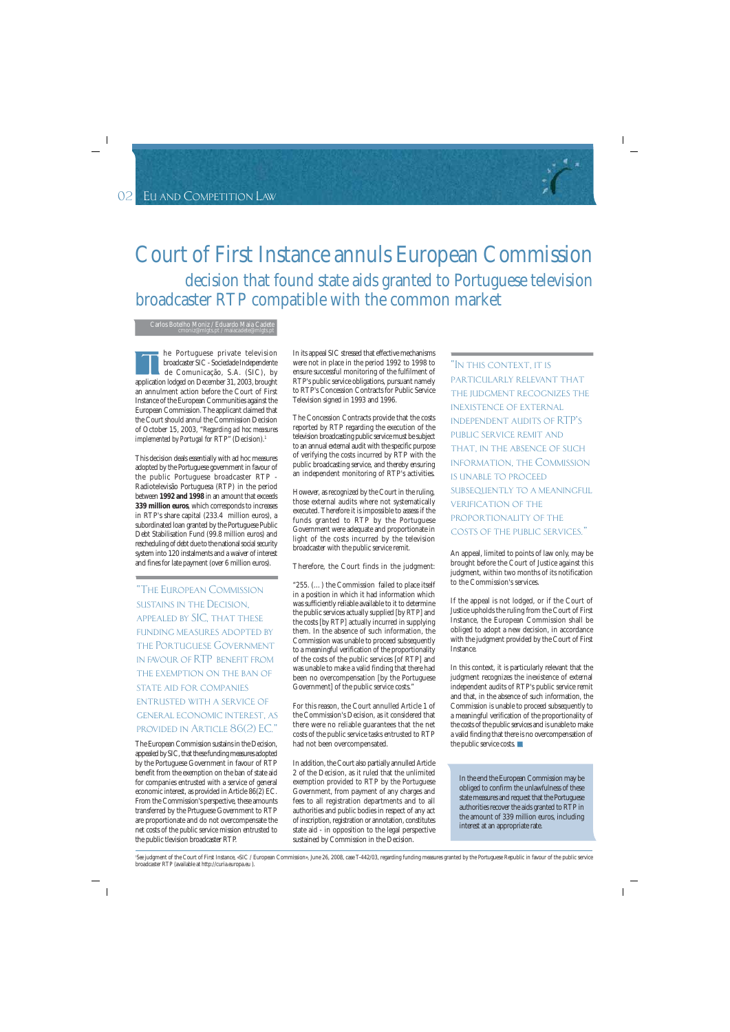## Court of First Instance annuls European Commission decision that found state aids granted to Portuguese television broadcaster RTP compatible with the common market

Carlos Botelho Moniz / Eduardo Maia Cadete cmoniz@mlgts.pt / maiacadete@mlgts.pt

he Portuguese private television broadcaster SIC - Sociedade Independente de Comunicação, S.A. (SIC), by application lodged on December 31, 2003, brought an annulment action before the Court of First Instance of the European Communities against the European Commission. The applicant claimed that the Court should annul the Commission Decision of October 15, 2003, "*Regarding ad hoc measures implemented by Portugal for* RTP" (Decision).<sup>1</sup> **T** 

This decision deals essentially with ad hoc measures adopted by the Portuguese government in favour of the public Portuguese broadcaster RTP - Radiotelevisão Portuguesa (RTP) in the period between **1992 and 1998** in an amount that exceeds **339 million euros**, which corresponds to increases in RTP's share capital (233.4 million euros), a subordinated loan granted by the Portuguese Public Debt Stabilisation Fund (99.8 million euros) and rescheduling of debt due to the national social security system into 120 instalments and a waiver of interest and fines for late payment (over 6 million euros).

"The European Commission sustains in the Decision, appealed by SIC, that these funding measures adopted by the Portuguese Government in favour of RTP benefit from the exemption on the ban of state aid for companies entrusted with a service of general economic interest, as provided in Article 86(2) EC."

The European Commission sustains in the Decision, appealed by SIC, that these funding measures adopted by the Portuguese Government in favour of RTP benefit from the exemption on the ban of state aid for companies entrusted with a service of general economic interest, as provided in Article 86(2) EC. From the Commission's perspective, these amounts transferred by the Prtuguese Government to RTP are proportionate and do not overcompensate the net costs of the public service mission entrusted to the public tlevision broadcaster RTP.

In its appeal SIC stressed that effective mechanisms were not in place in the period 1992 to 1998 to ensure successful monitoring of the fulfilment of RTP's public service obligations, pursuant namely to RTP's Concession Contracts for Public Service Television signed in 1993 and 1996.

The Concession Contracts provide that the costs reported by RTP regarding the execution of the television broadcasting public service must be subject to an annual external audit with the specific purpose of verifying the costs incurred by RTP with the public broadcasting service, and thereby ensuring an independent monitoring of RTP's activities.

However, as recognized by the Court in the ruling, those external audits where not systematically executed. Therefore it is impossible to assess if the funds granted to RTP by the Portuguese Government were adequate and proportionate in light of the costs incurred by the television broadcaster with the public service remit.

Therefore, the Court finds in the judgment:

"255. (…) the Commission failed to place itself in a position in which it had information which was sufficiently reliable available to it to determine the public services actually supplied [by RTP] and the costs [by RTP] actually incurred in supplying them. In the absence of such information, the Commission was unable to proceed subsequently to a meaningful verification of the proportionality of the costs of the public services [of RTP] and was unable to make a valid finding that there had been no overcompensation [by the Portuguese Government] of the public service costs."

For this reason, the Court annulled Article 1 of the Commission's Decision, as it considered that there were no reliable guarantees that the net costs of the public service tasks entrusted to RTP had not been overcompensated.

In addition, the Court also partially annulled Article 2 of the Decision, as it ruled that the unlimited exemption provided to RTP by the Portuguese Government, from payment of any charges and fees to all registration departments and to all authorities and public bodies in respect of any act of inscription, registration or annotation, constitutes state aid - in opposition to the legal perspective sustained by Commission in the Decision.

"In this context, it is particularly relevant that the judgment recognizes the inexistence of external independent audits of RTP's public service remit and THAT, IN THE ABSENCE OF SUCH information, the Commission is unable to proceed subsequently to a meaningful verification of the proportionality of the costs of the public services."

An appeal, limited to points of law only, may be brought before the Court of Justice against this judgment, within two months of its notification to the Commission's services.

If the appeal is not lodged, or if the Court of Justice upholds the ruling from the Court of First Instance, the European Commission shall be obliged to adopt a new decision, in accordance with the judgment provided by the Court of First Instance.

In this context, it is particularly relevant that the judgment recognizes the inexistence of external independent audits of RTP's public service remit and that, in the absence of such information, the Commission is unable to proceed subsequently to a meaningful verification of the proportionality of the costs of the public services and is unable to make a valid finding that there is no overcompensation of the public service costs.

In the end the European Commission may be obliged to confirm the unlawfulness of these state measures and request that the Portuguese authorities recover the aids granted to RTP in the amount of 339 million euros, including interest at an appropriate rate.

'*See* judgment of the Court of First Instance, «SIC / European Commission», June 26, 2008, case T-442/03, regarding funding measures granted by the Portuguese Republic in favour of the public service broadcaster RTP (available at http://curia.europa.eu ).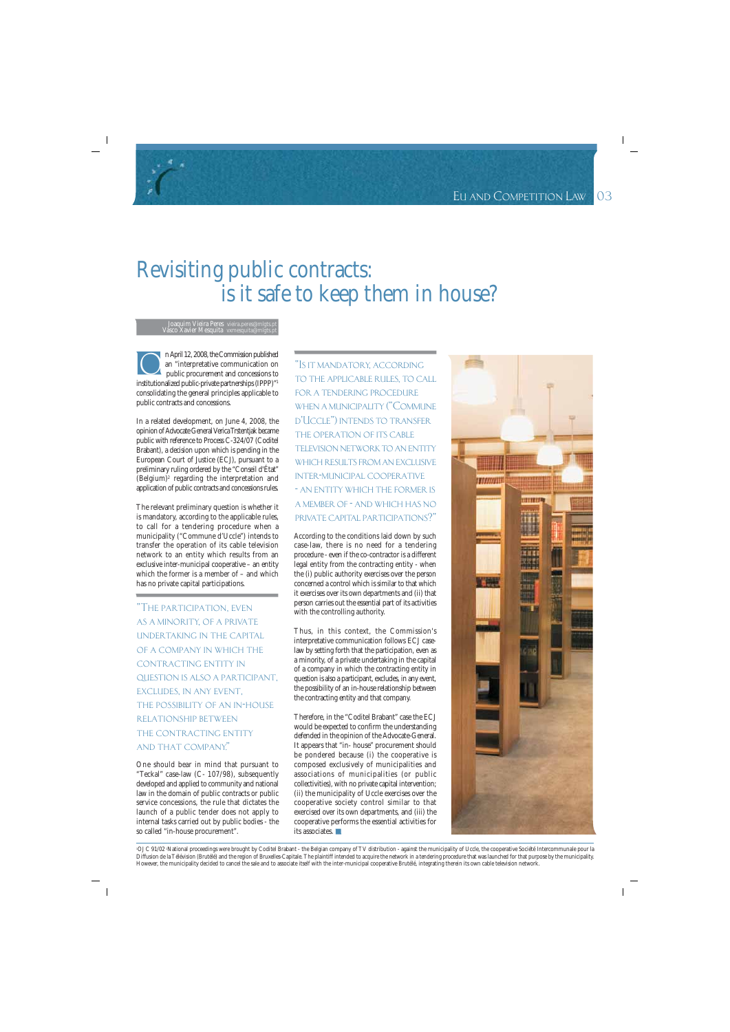## Revisiting public contracts: is it safe to keep them in house?

quim Vieira Peres vieira.peres@m

n April 12, 2008, the Commission published an "interpretative communication on public procurement and concessions to institutionalized public-private partnerships (IPPP)"1 consolidating the general principles applicable to public contracts and concessions. O

In a related development, on June 4, 2008, the opinion of Advocate General Verica Trstentjak became public with reference to Process C-324/07 (Coditel Brabant), a decision upon which is pending in the European Court of Justice (ECJ), pursuant to a preliminary ruling ordered by the "Conseil d'État" (Belgium)2 regarding the interpretation and application of public contracts and concessions rules.

The relevant preliminary question is whether it is mandatory, according to the applicable rules, to call for a tendering procedure when a municipality ("Commune d'Uccle") intends to transfer the operation of its cable television network to an entity which results from an exclusive inter-municipal cooperative – an entity which the former is a member of – and which has no private capital participations.

"The participation, even as a minority, of a private undertaking in the capital of a company in which the contracting entity in question is also a participant, excludes, in any event, the possibility of an in-house relationship between THE CONTRACTING ENTITY and that company."

One should bear in mind that pursuant to "Teckal" case-law (C- 107/98), subsequently developed and applied to community and national law in the domain of public contracts or public service concessions, the rule that dictates the launch of a public tender does not apply to internal tasks carried out by public bodies - the so called "in-house procurement".

"Is it mandatory, according to the applicable rules, to call for a tendering procedure when a municipality ("Commune d'Uccle") intends to transfer the operation of its cable television network to an entity which results from an exclusive inter-municipal cooperative - an entity which the former is a member of - and which has no private capital participations?"

According to the conditions laid down by such case-law, there is no need for a tendering procedure - even if the co-contractor is a different legal entity from the contracting entity - when the (i) public authority exercises over the person concerned a control which is similar to that which it exercises over its own departments and (ii) that person carries out the essential part of its activities with the controlling authority.

Thus, in this context, the Commission's interpretative communication follows ECJ caselaw by setting forth that the participation, even as a minority, of a private undertaking in the capital of a company in which the contracting entity in question is also a participant, excludes, in any event, the possibility of an in-house relationship between the contracting entity and that company.

Therefore, in the "Coditel Brabant" case the ECJ would be expected to confirm the understanding defended in the opinion of the Advocate-General. It appears that "in- house" procurement should be pondered because (i) the cooperative is composed exclusively of municipalities and associations of municipalities (or public collectivities), with no private capital intervention; (ii) the municipality of Uccle exercises over the cooperative society control similar to that exercised over its own departments, and (iii) the cooperative performs the essential activities for its associates.



'OJ C 91/02 'National proceedings were brought by Coditel Brabant - the Belgian company of TV distribution - against the municipality of Uccle, the cooperative Société Intercommunale pour la Diffusion de la Télévision (Brutélé) and the region of Bruxelles-Capitale. The plaintiff intended to acquire the network in a tendering procedure that was launched for that purpose by the municipality. However, the municipality decided to cancel the sale and to associate itself with the inter-municipal cooperative Brutélé, integrating therein its own cable television network.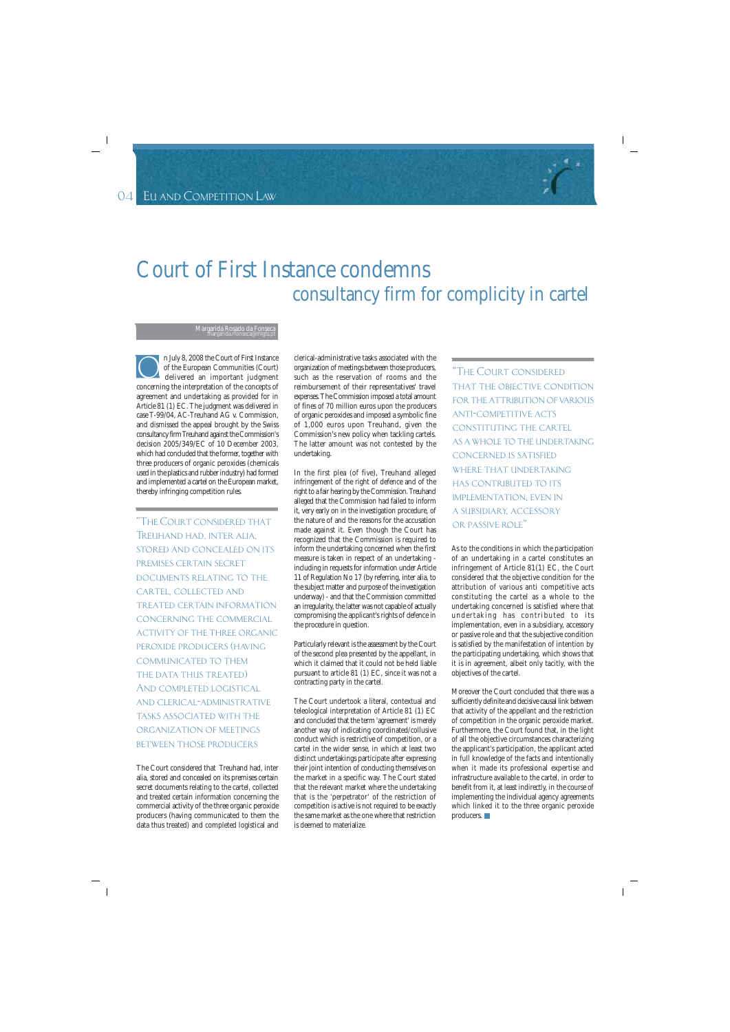

## Court of First Instance condemns consultancy firm for complicity in cartel

#### Margarida Rosado da Fonsec

n July 8, 2008 the Court of First Instance of the European Communities (Court) delivered an important judgment concerning the interpretation of the concepts of agreement and undertaking as provided for in Article 81 (1) EC. The judgment was delivered in case T-99/04, AC-Treuhand AG v. Commission, and dismissed the appeal brought by the Swiss consultancy firm Treuhand against the Commission's decision 2005/349/EC of 10 December 2003, which had concluded that the former, together with three producers of organic peroxides (chemicals used in the plastics and rubber industry) had formed and implemented a cartel on the European market, thereby infringing competition rules. O

"The Court considered that Treuhand had, inter alia, stored and concealed on its premises certain secret documents relating to the cartel, collected and treated certain information concerning the commercial activity of the three organic peroxide producers (having communicated to them the data thus treated) And completed logistical and clerical-administrative tasks associated with the organization of meetings between those producers

The Court considered that Treuhand had, inter alia, stored and concealed on its premises certain secret documents relating to the cartel, collected and treated certain information concerning the commercial activity of the three organic peroxide producers (having communicated to them the data thus treated) and completed logistical and

clerical-administrative tasks associated with the organization of meetings between those producers, such as the reservation of rooms and the reimbursement of their representatives' travel expenses. The Commission imposed a total amount of fines of 70 million euros upon the producers of organic peroxides and imposed a symbolic fine of 1,000 euros upon Treuhand, given the Commission's new policy when tackling cartels. The latter amount was not contested by the undertaking.

In the first plea (of five), Treuhand alleged infringement of the right of defence and of the right to a fair hearing by the Commission. Treuhand alleged that the Commission had failed to inform it, very early on in the investigation procedure, of the nature of and the reasons for the accusation made against it. Even though the Court has recognized that the Commission is required to inform the undertaking concerned when the first measure is taken in respect of an undertaking including in requests for information under Article 11 of Regulation No 17 (by referring, inter alia, to the subject matter and purpose of the investigation underway) - and that the Commission committed an irregularity, the latter was not capable of actually compromising the applicant's rights of defence in the procedure in question.

Particularly relevant is the assessment by the Court of the second plea presented by the appellant, in which it claimed that it could not be held liable pursuant to article 81 (1) EC, since it was not a contracting party in the cartel.

The Court undertook a literal, contextual and teleological interpretation of Article 81 (1) EC and concluded that the term 'agreement' is merely another way of indicating coordinated/collusive conduct which is restrictive of competition, or a cartel in the wider sense, in which at least two distinct undertakings participate after expressing their joint intention of conducting themselves on the market in a specific way. The Court stated that the relevant market where the undertaking that is the 'perpetrator' of the restriction of competition is active is not required to be exactly the same market as the one where that restriction is deemed to materialize.

"The Court considered THAT THE OBJECTIVE CONDITION FOR THE ATTRIBUTION OF VARIOUS ANTI-COMPETITIVE ACTS constituting the cartel as a whole to the undertaking concerned is satisfied WHERE THAT UNDERTAKING HAS CONTRIBUTED TO ITS implementation, even in a subsidiary, accessory or passive role"

As to the conditions in which the participation of an undertaking in a cartel constitutes an infringement of Article 81(1) EC, the Court considered that the objective condition for the attribution of various anti competitive acts constituting the cartel as a whole to the undertaking concerned is satisfied where that undertaking has contributed to its implementation, even in a subsidiary, accessory or passive role and that the subjective condition is satisfied by the manifestation of intention by the participating undertaking, which shows that it is in agreement, albeit only tacitly, with the objectives of the cartel.

Moreover the Court concluded that there was a sufficiently definite and decisive causal link between that activity of the appellant and the restriction of competition in the organic peroxide market. Furthermore, the Court found that, in the light of all the objective circumstances characterizing the applicant's participation, the applicant acted in full knowledge of the facts and intentionally when it made its professional expertise and infrastructure available to the cartel, in order to benefit from it, at least indirectly, in the course of implementing the individual agency agreements which linked it to the three organic peroxide producers.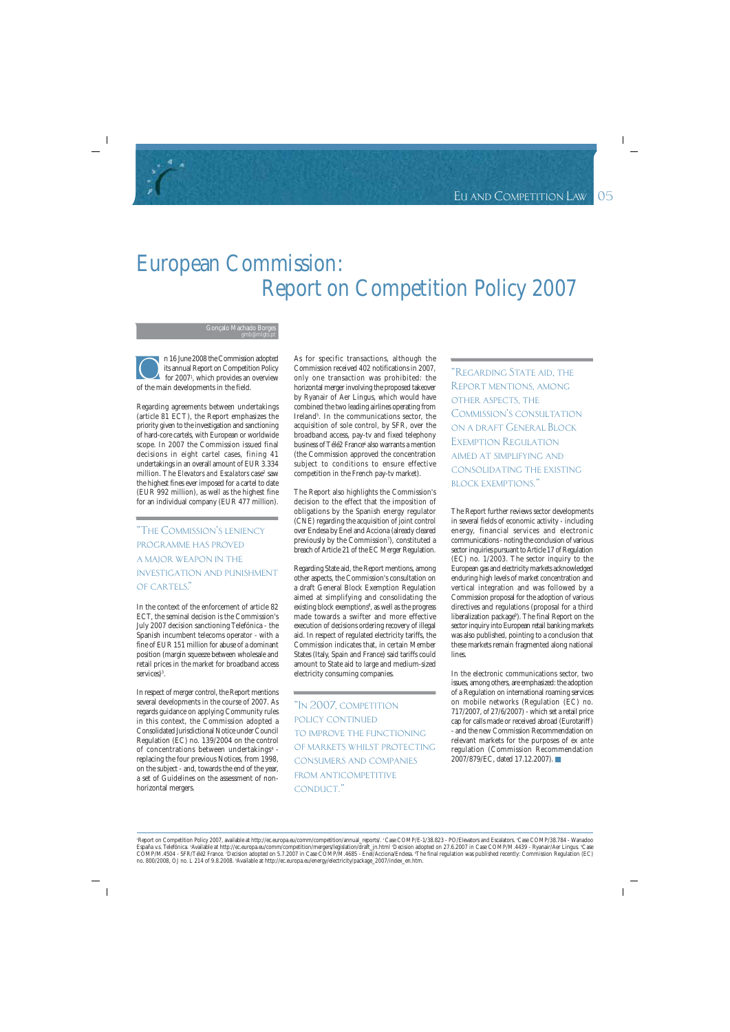## European Commission: Report on Competition Policy 2007

#### Gonçalo Machado Borg

n 16 June 2008 the Commission adopted its annual Report on Competition Policy for 20071 , which provides an overview of the main developments in the field. O

Regarding agreements between undertakings (article 81 ECT), the Report emphasizes the priority given to the investigation and sanctioning of hard-core cartels, with European or worldwide scope. In 2007 the Commission issued final decisions in eight cartel cases, fining 41 undertakings in an overall amount of EUR 3.334 million. The *Elevators and Escalators* case<sup>2</sup> saw the highest fines ever imposed for a cartel to date (EUR 992 million), as well as the highest fine for an individual company (EUR 477 million).

"The Commission's leniency programme has proved a major weapon in the investigation and punishment of cartels."

In the context of the enforcement of article 82 ECT, the seminal decision is the Commission's July 2007 decision sanctioning Telefónica - the Spanish incumbent telecoms operator - with a fine of EUR 151 million for abuse of a dominant position (margin squeeze between wholesale and retail prices in the market for broadband access services)<sup>3</sup>.

In respect of merger control, the Report mentions several developments in the course of 2007. As regards guidance on applying Community rules in this context, the Commission adopted a Consolidated Jurisdictional Notice under Council Regulation (EC) no. 139/2004 on the control of concentrations between undertakings<sup>4</sup> replacing the four previous Notices, from 1998, on the subject - and, towards the end of the year, a set of Guidelines on the assessment of nonhorizontal mergers.

As for specific transactions, although the Commission received 402 notifications in 2007, only one transaction was prohibited: the horizontal merger involving the proposed takeover by Ryanair of Aer Lingus, which would have combined the two leading airlines operating from Ireland<sup>5</sup>. In the communications sector, the acquisition of sole control, by SFR, over the broadband access, pay-tv and fixed telephony business of Télé2 France<sup>6</sup> also warrants a mention (the Commission approved the concentration subject to conditions to ensure effective competition in the French pay-tv market).

The Report also highlights the Commission's decision to the effect that the imposition of obligations by the Spanish energy regulator (CNE) regarding the acquisition of joint control over Endesa by Enel and Acciona (already cleared previously by the Commission<sup>7</sup>), constituted a breach of Article 21 of the EC Merger Regulation.

Regarding State aid, the Report mentions, among other aspects, the Commission's consultation on a draft General Block Exemption Regulation aimed at simplifying and consolidating the existing block exemptions<sup>8</sup>, as well as the progress made towards a swifter and more effective execution of decisions ordering recovery of illegal aid. In respect of regulated electricity tariffs, the Commission indicates that, in certain Member States (Italy, Spain and France) said tariffs could amount to State aid to large and medium-sized electricity consuming companies.

"In 2007, competition POLICY CONTINUED to improve the functioning of markets whilst protecting consumers and companies FROM ANTICOMPETITIVE conduct."

"Regarding State aid, the Report mentions, among other aspects, the Commission's consultation on a draft General Block Exemption Regulation aimed at simplifying and consolidating the existing block exemptions."

The Report further reviews sector developments in several fields of economic activity - including energy, financial services and electronic communications - noting the conclusion of various sector inquiries pursuant to Article 17 of Regulation (EC) no. 1/2003. The sector inquiry to the European gas and electricity markets acknowledged enduring high levels of market concentration and vertical integration and was followed by a Commission proposal for the adoption of various directives and regulations (proposal for a third liberalization package<sup>9</sup>). The final Report on the sector inquiry into European retail banking markets was also published, pointing to a conclusion that these markets remain fragmented along national lines.

In the electronic communications sector, two issues, among others, are emphasized: the adoption of a Regulation on international roaming services on mobile networks (Regulation (EC) no. 717/2007, of 27/6/2007) - which set a retail price cap for calls made or received abroad (Eurotariff) - and the new Commission Recommendation on relevant markets for the purposes of *ex ante* regulation (Commission Recommendation 2007/879/EC, dated 17.12.2007).

1 Report on Competition Policy 2007, available at http://ec.europa.eu/comm/competition/annual\_reports/. 2 Case COMP/E-1/38.823 - PO/Elevators and Escalators. 3 Case COMP/38.784 - Wanadoo España v.s. Telefónica. 'Available at http://ec.europa.eu/comm/competition/mergers/legislation/draft\_jn.html 'Decision adopted on 27.6.2007 in Case COMP/M.4439 - Ryanair/Aer Lingus. "Case COMP/M.4504 - SFR/Télé2 France. 'Decision adopted on 5.7.2007 in Case COMP/M.4685 - Enel/Acciona/Endesa. \*The final regulation was published recently: Commission Regulation (EC) no. 800/2008, OJ no. L 214 of 9.8.2008. 9 Available at http://ec.europa.eu/energy/electricity/package\_2007/index\_en.htm.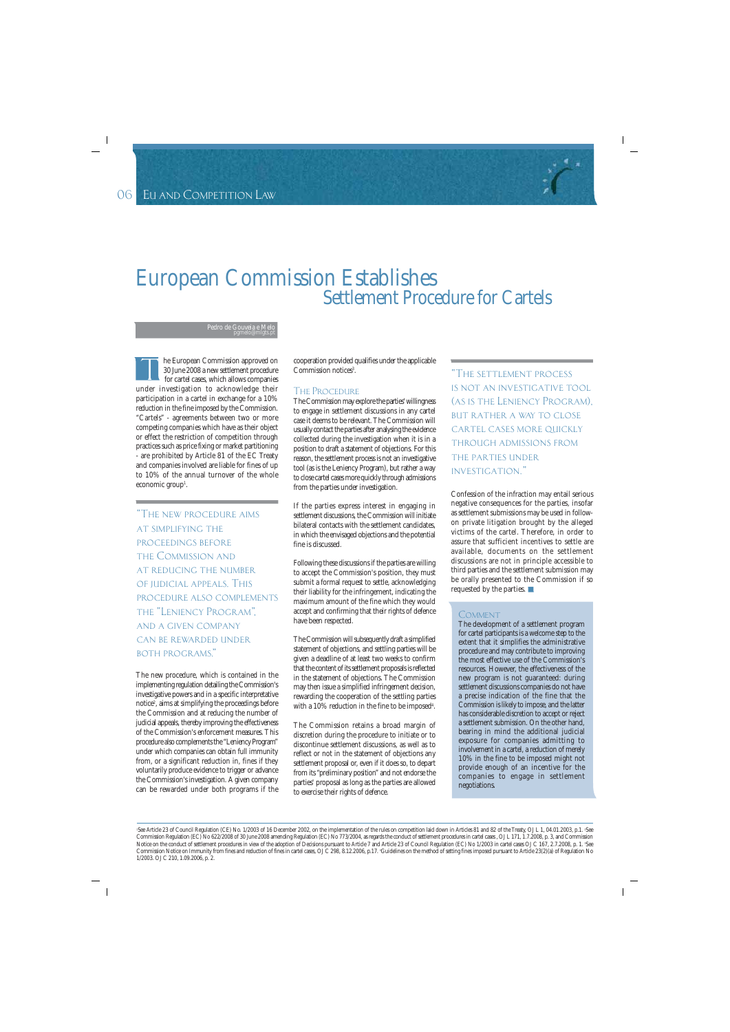

### European Commission Establishes Settlement Procedure for Cartels

Pedro de Gouveia e Melo pgmelo@mlgts.pt

he European Commission approved on 30 June 2008 a new settlement procedure for cartel cases, which allows companies under investigation to acknowledge their participation in a cartel in exchange for a 10% reduction in the fine imposed by the Commission. "Cartels" - agreements between two or more competing companies which have as their object or effect the restriction of competition through practices such as price fixing or market partitioning - are prohibited by Article 81 of the EC Treaty and companies involved are liable for fines of up to 10% of the annual turnover of the whole economic group<sup>1</sup>. T

"The new procedure aims at simplifying the proceedings before the Commission and at reducing the number of judicial appeals. This procedure also complements the "Leniency Program", and a given company can be rewarded under both programs."

The new procedure, which is contained in the implementing regulation detailing the Commission's investigative powers and in a specific interpretative notice2 , aims at simplifying the proceedings before the Commission and at reducing the number of judicial appeals, thereby improving the effectiveness of the Commission's enforcement measures. This procedure also complements the "Leniency Program" under which companies can obtain full immunity from, or a significant reduction in, fines if they voluntarily produce evidence to trigger or advance the Commission's investigation. A given company can be rewarded under both programs if the cooperation provided qualifies under the applicable Commission notices<sup>3</sup>.

#### The Procedure

The Commission may explore the parties' willingness to engage in settlement discussions in any cartel case it deems to be relevant. The Commission will usually contact the parties after analysing the evidence collected during the investigation when it is in a position to draft a statement of objections. For this reason, the settlement process is not an investigative tool (as is the Leniency Program), but rather a way to close cartel cases more quickly through admissions from the parties under investigation.

If the parties express interest in engaging in settlement discussions, the Commission will initiate bilateral contacts with the settlement candidates, in which the envisaged objections and the potential fine is discussed.

Following these discussions if the parties are willing to accept the Commission's position, they must submit a formal request to settle, acknowledging their liability for the infringement, indicating the maximum amount of the fine which they would accept and confirming that their rights of defence have been respected.

The Commission will subsequently draft a simplified statement of objections, and settling parties will be given a deadline of at least two weeks to confirm that the content of its settlement proposals is reflected in the statement of objections. The Commission may then issue a simplified infringement decision, rewarding the cooperation of the settling parties with a 10% reduction in the fine to be imposed $^{\rm 4}.$ 

The Commission retains a broad margin of discretion during the procedure to initiate or to discontinue settlement discussions, as well as to reflect or not in the statement of objections any settlement proposal or, even if it does so, to depart from its "preliminary position" and not endorse the parties' proposal as long as the parties are allowed to exercise their rights of defence.

"The settlement process is not an investigative tool (as is the Leniency Program), **BUT RATHER A WAY TO CLOSE** cartel cases more quickly through admissions from the parties under investigation."

Confession of the infraction may entail serious negative consequences for the parties, insofar as settlement submissions may be used in followon private litigation brought by the alleged victims of the cartel. Therefore, in order to assure that sufficient incentives to settle are available, documents on the settlement discussions are not in principle accessible to third parties and the settlement submission may be orally presented to the Commission if so requested by the parties.

#### **COMMENT**

The development of a settlement program for cartel participants is a welcome step to the extent that it simplifies the administrative procedure and may contribute to improving the most effective use of the Commission's resources. However, the effectiveness of the new program is not guaranteed: during settlement discussions companies do not have a precise indication of the fine that the Commission is likely to impose, and the latter has considerable discretion to accept or reject a settlement submission. On the other hand, bearing in mind the additional judicial exposure for companies admitting to involvement in a cartel, a reduction of merely 10% in the fine to be imposed might not provide enough of an incentive for the companies to engage in settlement negotiations.

<sup>&#</sup>x27;See Article 23 of Council Regulation (CE) No. 1/2003 of 16 December 2002, on the implementation of the rules on competition laid down in Articles 81 and 82 of the Treaty, OJ L 1, 04.01.2003, p.1. 'See Commission Regulation (EC) No 622/2008 of 30 June 2008 amending Regulation (EC) No 773/2004, as regards the conduct of settlement procedures in cartel cases , OJ L 171, 1.7.2008, p. 3, and Commission<br>Notice on the conduct 1/2003. OJ C 210, 1.09.2006, p. 2.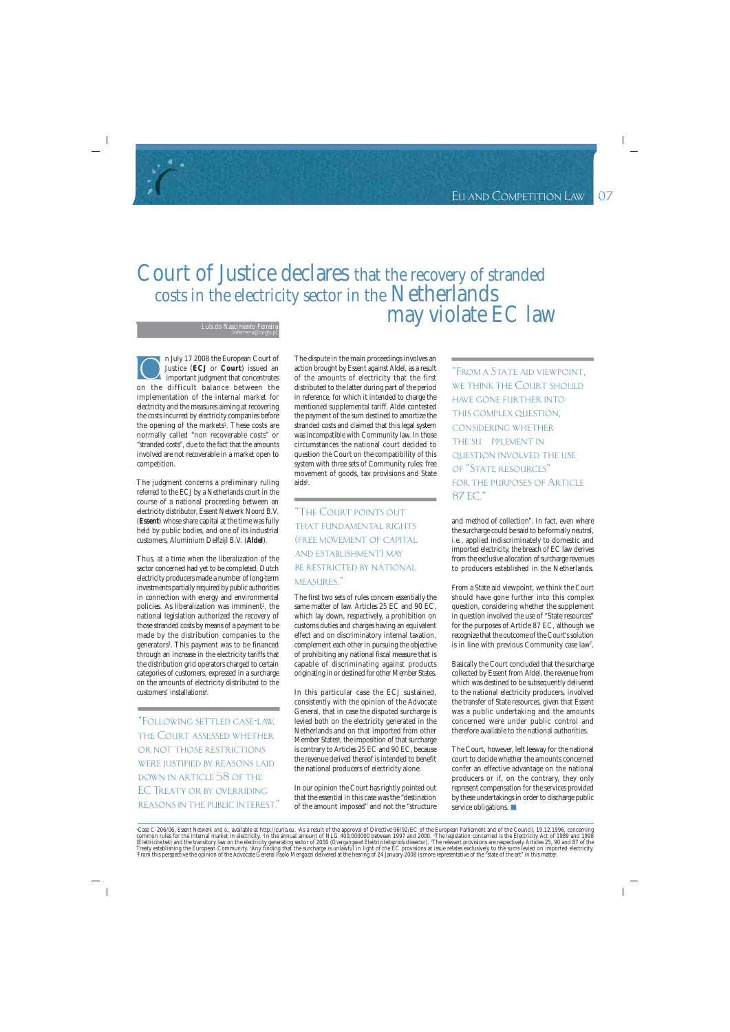### Court of Justice declares that the recovery of stranded costs in the electricity sector in the Netherlands may violate EC law

Luís do Nascimento Ferreira

n July 17 2008 the European Court of Justice (**ECJ** or **Court**) issued an important judgment that concentrates on the difficult balance between the implementation of the internal market for electricity and the measures aiming at recovering the costs incurred by electricity companies before the opening of the markets<sup>1</sup>. These costs are normally called "non recoverable costs" or "stranded costs", due to the fact that the amounts involved are not recoverable in a market open to competition. O

The judgment concerns a preliminary ruling referred to the ECJ by a Netherlands court in the course of a national proceeding between an electricity distributor, Essent Netwerk Noord B.V. (**Essent**) whose share capital at the time was fully held by public bodies, and one of its industrial customers, Aluminium Delfzijl B.V. (**Aldel**).

Thus, at a time when the liberalization of the sector concerned had yet to be completed, Dutch electricity producers made a number of long-term investments partially required by public authorities in connection with energy and environmental policies. As liberalization was imminent², the national legislation authorized the recovery of those stranded costs by means of a payment to be made by the distribution companies to the generators3 . This payment was to be financed through an increase in the electricity tariffs that the distribution grid operators charged to certain categories of customers, expressed in a surcharge on the amounts of electricity distributed to the customers' installations4 .

"Following settled case-law, the Court assessed whether or not those restrictions were justified by reasons laid down in article 58 of the EC TREATY OR BY OVERRIDING reasons in the public interest." The dispute in the main proceedings involves an action brought by Essent against Aldel, as a result of the amounts of electricity that the first distributed to the latter during part of the period in reference, for which it intended to charge the mentioned supplemental tariff. Aldel contested the payment of the sum destined to amortize the stranded costs and claimed that this legal system was incompatible with Community law. In those circumstances the national court decided to question the Court on the compatibility of this system with three sets of Community rules: free movement of goods, tax provisions and State aids<sup>5</sup>.

"The Court points out that fundamental rights (free movement of capital and establishment) may be restricted by national measures."

The first two sets of rules concern essentially the same matter of law. Articles 25 EC and 90 EC, which lay down, respectively, a prohibition on customs duties and charges having an equivalent effect and on discriminatory internal taxation, complement each other in pursuing the objective of prohibiting any national fiscal measure that is capable of discriminating against products originating in or destined for other Member States.

In this particular case the ECJ sustained, consistently with the opinion of the Advocate General, that in case the disputed surcharge is levied both on the electricity generated in the Netherlands and on that imported from other Member States $^6$ , the imposition of that surcharge is contrary to Articles 25 EC and 90 EC, because the revenue derived thereof is intended to benefit the national producers of electricity alone.

In our opinion the Court has rightly pointed out that the essential in this case was the "destination of the amount imposed" and not the "structure

"From a State aid viewpoint, WE THINK THE COURT SHOULD have gone further into this complex question, considering whether the su pplement in question involved the use of "State resources" for the purposes of Article 87 EC."

and method of collection". In fact, even where the surcharge could be said to be formally neutral, i.e., applied indiscriminately to domestic and imported electricity, the breach of EC law derives from the exclusive allocation of surcharge revenues to producers established in the Netherlands.

From a State aid viewpoint, we think the Court should have gone further into this complex question, considering whether the supplement in question involved the use of "State resources" for the purposes of Article 87 EC, although we recognize that the outcome of the Court's solution is in line with previous Community case law<sup>7</sup>.

Basically the Court concluded that the surcharge collected by Essent from Aldel, the revenue from which was destined to be subsequently delivered to the national electricity producers, involved the transfer of State resources, given that Essent was a public undertaking and the amounts concerned were under public control and therefore available to the national authorities.

The Court, however, left leeway for the national court to decide whether the amounts concerned confer an effective advantage on the national producers or if, on the contrary, they only represent compensation for the services provided by these undertakings in order to discharge public service obligations.

'Case C-206/06, *Essent Netwerk and o.*, available at http://curia.eu. \*As a result of the approval of Directive 96/92/EC of the European Parliament and of the Council, 19.12.1996, concerning<br>(*Elektrictietse)* and the tra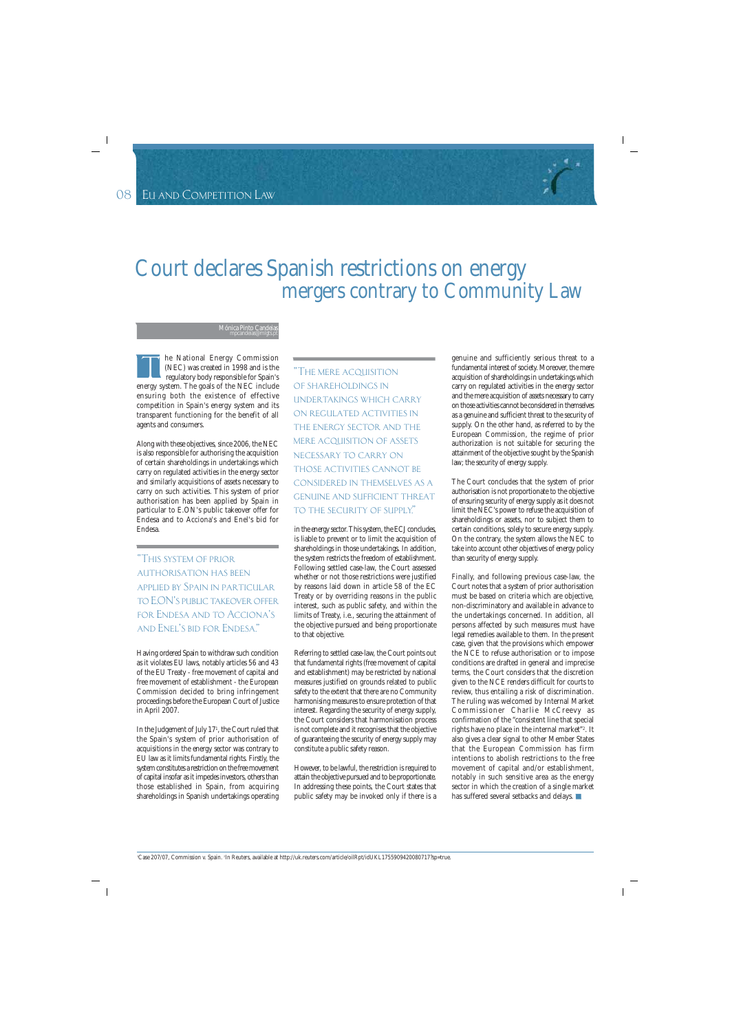

### Court declares Spanish restrictions on energy mergers contrary to Community Law

#### Mónica Pinto Candeias mpcandeias@mlgts.pt

he National Energy Commission (NEC) was created in 1998 and is the regulatory body responsible for Spain's energy system. The goals of the NEC include ensuring both the existence of effective competition in Spain's energy system and its transparent functioning for the benefit of all agents and consumers. **T** 

Along with these objectives, since 2006, the NEC is also responsible for authorising the acquisition of certain shareholdings in undertakings which carry on regulated activities in the energy sector and similarly acquisitions of assets necessary to carry on such activities. This system of prior authorisation has been applied by Spain in particular to E.ON's public takeover offer for Endesa and to Acciona's and Enel's bid for Endesa.

"This system of prior authorisation has been applied by Spain in particular to E.ON's public takeover offer for Endesa and to Acciona's and Enel's bid for Endesa."

Having ordered Spain to withdraw such condition as it violates EU laws, notably articles 56 and 43 of the EU Treaty - free movement of capital and free movement of establishment - the European Commission decided to bring infringement proceedings before the European Court of Justice in April 2007.

In the Judgement of July 171 , the Court ruled that the Spain's system of prior authorisation of acquisitions in the energy sector was contrary to EU law as it limits fundamental rights. Firstly, the system constitutes a restriction on the free movement of capital insofar as it impedes investors, others than those established in Spain, from acquiring shareholdings in Spanish undertakings operating

"The mere acquisition of shareholdings in undertakings which carry on regulated activities in THE ENERGY SECTOR AND THE mere acquisition of assets necessary to carry on THOSE ACTIVITIES CANNOT BE considered in themselves as a genuine and sufficient threat to the security of supply."

in the energy sector. This system, the ECJ concludes, is liable to prevent or to limit the acquisition of shareholdings in those undertakings. In addition, the system restricts the freedom of establishment. Following settled case-law, the Court assessed whether or not those restrictions were justified by reasons laid down in article 58 of the EC Treaty or by overriding reasons in the public interest, such as public safety, and within the limits of Treaty, i.e., securing the attainment of the objective pursued and being proportionate to that objective.

Referring to settled case-law, the Court points out that fundamental rights (free movement of capital and establishment) may be restricted by national measures justified on grounds related to public safety to the extent that there are no Community harmonising measures to ensure protection of that interest. Regarding the security of energy supply, the Court considers that harmonisation process is not complete and it recognises that the objective of guaranteeing the security of energy supply may constitute a public safety reason.

However, to be lawful, the restriction is required to attain the objective pursued and to be proportionate. In addressing these points, the Court states that public safety may be invoked only if there is a genuine and sufficiently serious threat to a fundamental interest of society. Moreover, the mere acquisition of shareholdings in undertakings which carry on regulated activities in the energy sector and the mere acquisition of assets necessary to carry on those activities cannot be considered in themselves as a genuine and sufficient threat to the security of supply. On the other hand, as referred to by the European Commission, the regime of prior authorization is not suitable for securing the attainment of the objective sought by the Spanish law; the security of energy supply.

The Court concludes that the system of prior authorisation is not proportionate to the objective of ensuring security of energy supply as it does not limit the NEC's power to refuse the acquisition of shareholdings or assets, nor to subject them to certain conditions, solely to secure energy supply. On the contrary, the system allows the NEC to take into account other objectives of energy policy than security of energy supply.

Finally, and following previous case-law, the Court notes that a system of prior authorisation must be based on criteria which are objective, non-discriminatory and available in advance to the undertakings concerned. In addition, all persons affected by such measures must have legal remedies available to them. In the present case, given that the provisions which empower the NCE to refuse authorisation or to impose conditions are drafted in general and imprecise terms, the Court considers that the discretion given to the NCE renders difficult for courts to review, thus entailing a risk of discrimination. The ruling was welcomed by Internal Market Commissioner Charlie McCreevy as confirmation of the "consistent line that special rights have no place in the internal market"2 . It also gives a clear signal to other Member States that the European Commission has firm intentions to abolish restrictions to the free movement of capital and/or establishment, notably in such sensitive area as the energy sector in which the creation of a single market has suffered several setbacks and delays.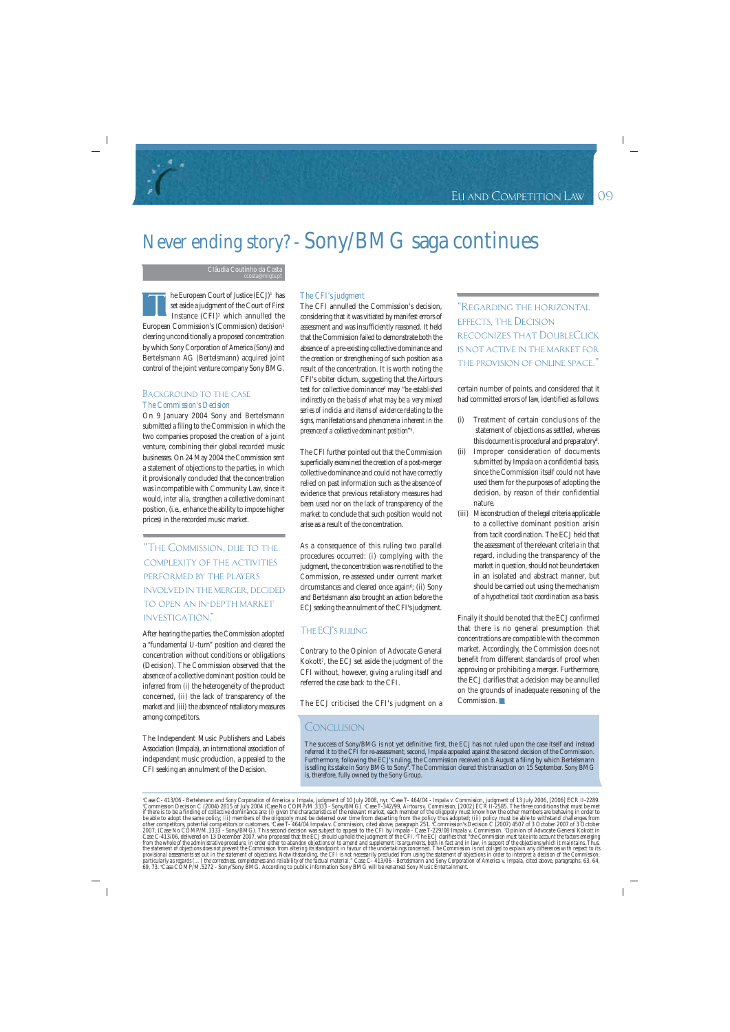# Never ending story? - Sony/BMG saga continues

Cláudia Coutinho da Costa

he European Court of Justice (ECJ)<sup>1</sup> has set aside a judgment of the Court of First Instance  $(CFI)^{z}$  which annulled the European Commission's (Commission) decision3 clearing unconditionally a proposed concentration by which Sony Corporation of America (Sony) and Bertelsmann AG (Bertelsmann) acquired joint control of the joint venture company Sony BMG. T

#### BACKGROUND TO THE CASE *The Commission's Decision*

On 9 January 2004 Sony and Bertelsmann submitted a filing to the Commission in which the two companies proposed the creation of a joint venture, combining their global recorded music businesses. On 24 May 2004 the Commission sent a statement of objections to the parties, in which it provisionally concluded that the concentration was incompatible with Community Law, since it would, *inter alia*, strengthen a collective dominant position, (i.e., enhance the ability to impose higher prices) in the recorded music market.

### "The Commission, due to the complexity of the activities performed by the players involved in the merger, decided to open an in-depth market investigation."

After hearing the parties, the Commission adopted a "fundamental U-turn" position and cleared the concentration without conditions or obligations (Decision). The Commission observed that the absence of a collective dominant position could be inferred from *(i)* the heterogeneity of the product concerned, *(ii)* the lack of transparency of the market and *(iii)* the absence of retaliatory measures among competitors.

The Independent Music Publishers and Labels Association (Impala), an international association of independent music production, a ppealed to the CFI seeking an annulment of the Decision.

#### *The CFI's judgment*

The CFI annulled the Commission's decision, considering that it was vitiated by manifest errors of assessment and was insufficiently reasoned. It held that the Commission failed to demonstrate both the absence of a pre-existing collective dominance and the creation or strengthening of such position as a result of the concentration. It is worth noting the CFI's obiter dictum, suggesting that the Airtours test for collective dominance<sup>4</sup> may "*be established indirectly on the basis of what may be a very mixed series of indicia and items of evidence relating to the signs, manifestations and phenomena inherent in the presence of a collective dominant position*"5 .

The CFI further pointed out that the Commission superficially examined the creation of a post-merger collective dominance and could not have correctly relied on past information such as the absence of evidence that previous retaliatory measures had been used nor on the lack of transparency of the market to conclude that such position would not arise as a result of the concentration.

As a consequence of this ruling two parallel procedures occurred: *(i)* complying with the judgment, the concentration was re-notified to the Commission, re-assessed under current market circumstances and cleared once again<sup>6</sup>; *(ii)* Sony and Bertelsmann also brought an action before the ECJ seeking the annulment of the CFI's judgment.

#### The ECJ's ruling

Contrary to the Opinion of Advocate General Kokott7 , the ECJ set aside the judgment of the CFI without, however, giving a ruling itself and referred the case back to the CFI.

The ECJ criticised the CFI's judgment on a

"Regarding the horizontal effects, the Decision recognizes that DoubleClick is not active in the market for the provision of online space."

certain number of points, and considered that it had committed errors of law, identified as follows:

- (i) Treatment of certain conclusions of the statement of objections as settled, whereas this document is procedural and preparatory<sup>8</sup>.
- (ii) Improper consideration of documents submitted by Impala on a confidential basis, since the Commission itself could not have used them for the purposes of adopting the decision, by reason of their confidential nature.
- (iii) Misconstruction of the legal criteria applicable to a collective dominant position arisin from tacit coordination. The ECJ held that the assessment of the relevant criteria in that regard, including the transparency of the market in question, should not be undertaken in an isolated and abstract manner, but should be carried out using the mechanism of a *hypothetical tacit coordination* as a basis.

Finally it should be noted that the ECJ confirmed that there is no general presumption that concentrations are compatible with the common market. Accordingly, the Commission does not benefit from different standards of proof when approving or prohibiting a merger. Furthermore, the ECJ clarifies that a decision may be annulled on the grounds of inadequate reasoning of the Commission.

### **CONCLUSION**

The success of Sony/BMG is not yet definitive: first, the ECJ has not ruled upon the case itself and instead referred it to the CFI for re-assessment; second, Impala appealed against the second decision of the Commission. Furthermore, following the ECJ's ruling, the Commission received on 8 August a filing by which Bertelsmann is selling its stake in Sony BMG to Sony9 . The Commission cleared this transaction on 15 September. Sony BMG is, therefore, fully owned by the Sony Group.

'Case C- 413/06 - *Bertelsmann and Sony Corporation of America v. Impala,* judgment of 10 July 2008, nyr. 'Case T- 464/04 - *Impala v. Commission*, judgment of 13 July 2006, [2006] ECR II-2289.<br>'Commission C (2004) 2815 o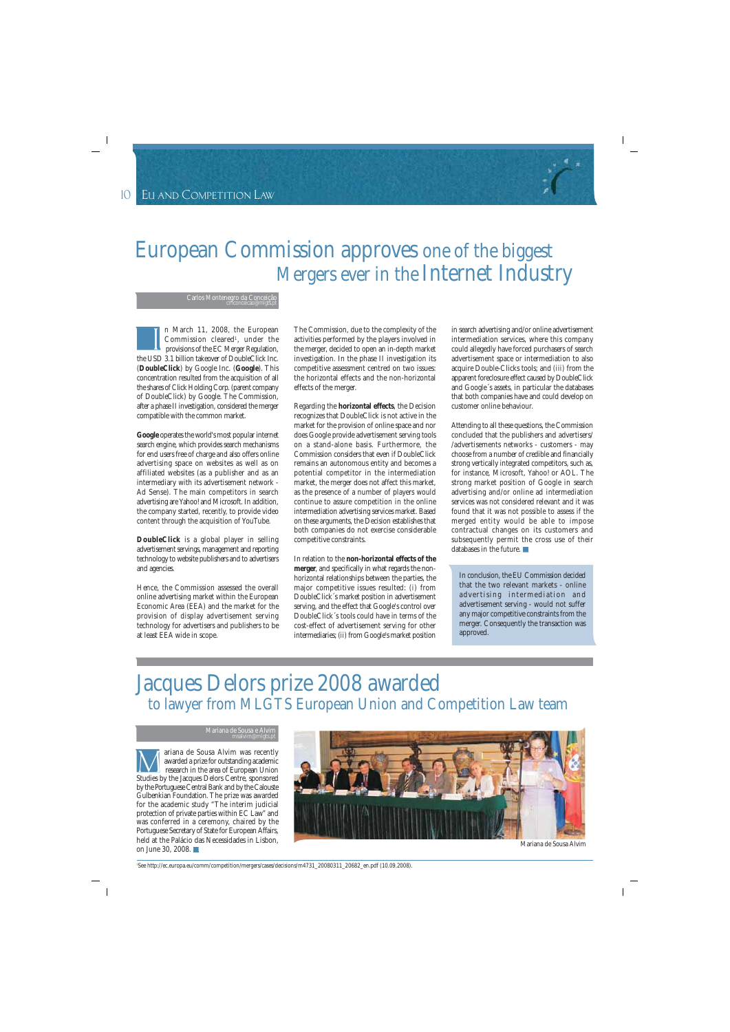## European Commission approves one of the biggest Mergers ever in the Internet Industry

Carlos Montenegro da Conceição

n March 11, 2008, the European Commission cleared<sup>1</sup>, under the provisions of the EC Merger Regulation, the USD 3.1 billion takeover of DoubleClick Inc. (**DoubleClick**) by Google Inc. (**Google**). This concentration resulted from the acquisition of all the shares of Click Holding Corp. (parent company of DoubleClick) by Google. The Commission, after a phase II investigation, considered the merger compatible with the common market. I

**Google** operates the world's most popular internet search engine, which provides search mechanisms for end users free of charge and also offers online advertising space on websites as well as on affiliated websites (as a publisher and as an intermediary with its advertisement network - Ad Sense). The main competitors in search advertising are Yahoo! and Microsoft. In addition, the company started, recently, to provide video content through the acquisition of YouTube.

**DoubleClick** is a global player in selling advertisement servings, management and reporting technology to website publishers and to advertisers and agencies.

Hence, the Commission assessed the overall online advertising market within the European Economic Area (EEA) and the market for the provision of display advertisement serving technology for advertisers and publishers to be at least EEA wide in scope.

The Commission, due to the complexity of the activities performed by the players involved in the merger, decided to open an in-depth market investigation. In the phase II investigation its competitive assessment centred on two issues: the horizontal effects and the non-horizontal effects of the merger.

Regarding the **horizontal effects**, the Decision recognizes that DoubleClick is not active in the market for the provision of online space and nor does Google provide advertisement serving tools on a stand-alone basis. Furthermore, the Commission considers that even if DoubleClick remains an autonomous entity and becomes a potential competitor in the intermediation market, the merger does not affect this market, as the presence of a number of players would continue to assure competition in the online intermediation advertising services market. Based on these arguments, the Decision establishes that both companies do not exercise considerable competitive constraints.

In relation to the **non-horizontal effects of the merger**, and specifically in what regards the nonhorizontal relationships between the parties, the major competitive issues resulted: *(i)* from DoubleClick´s market position in advertisement serving, and the effect that Google's control over DoubleClick´s tools could have in terms of the cost-effect of advertisement serving for other intermediaries; *(ii)* from Google's market position

in search advertising and/or online advertisement intermediation services, where this company could allegedly have forced purchasers of search advertisement space or intermediation to also acquire Double-Clicks tools; and *(iii)* from the apparent foreclosure effect caused by DoubleClick and Google´s assets, in particular the databases that both companies have and could develop on customer online behaviour.

Attending to all these questions, the Commission concluded that the publishers and advertisers/ /advertisements networks - customers - may choose from a number of credible and financially strong vertically integrated competitors, such as, for instance, Microsoft, Yahoo! or AOL. The strong market position of Google in search advertising and/or online ad intermediation services was not considered relevant and it was found that it was not possible to assess if the merged entity would be able to impose contractual changes on its customers and subsequently permit the cross use of their databases in the future.

In conclusion, the EU Commission decided that the two relevant markets - online advertising intermediation and advertisement serving - would not suffer any major competitive constraints from the merger. Consequently the transaction was approved.

### Jacques Delors prize 2008 awarded to lawyer from MLGTS European Union and Competition Law team

### Mariana de Sousa e Alvim msalvim@mlgts.pt

ariana de Sousa Alvim was recently awarded a prize for outstanding academic research in the area of European Union Studies by the Jacques Delors Centre, sponsored by the Portuguese Central Bank and by the Calouste Gulbenkian Foundation. The prize was awarded for the academic study "The interim judicial protection of private parties within EC Law" and was conferred in a ceremony, chaired by the Portuguese Secretary of State for European Affairs, held at the Palácio das Necessidades in Lisbon, on June 30, 2008. M



Mariana de Sousa Alvim

1 See http://ec.europa.eu/comm/competition/mergers/cases/decisions/m4731\_20080311\_20682\_en.pdf (10.09.2008).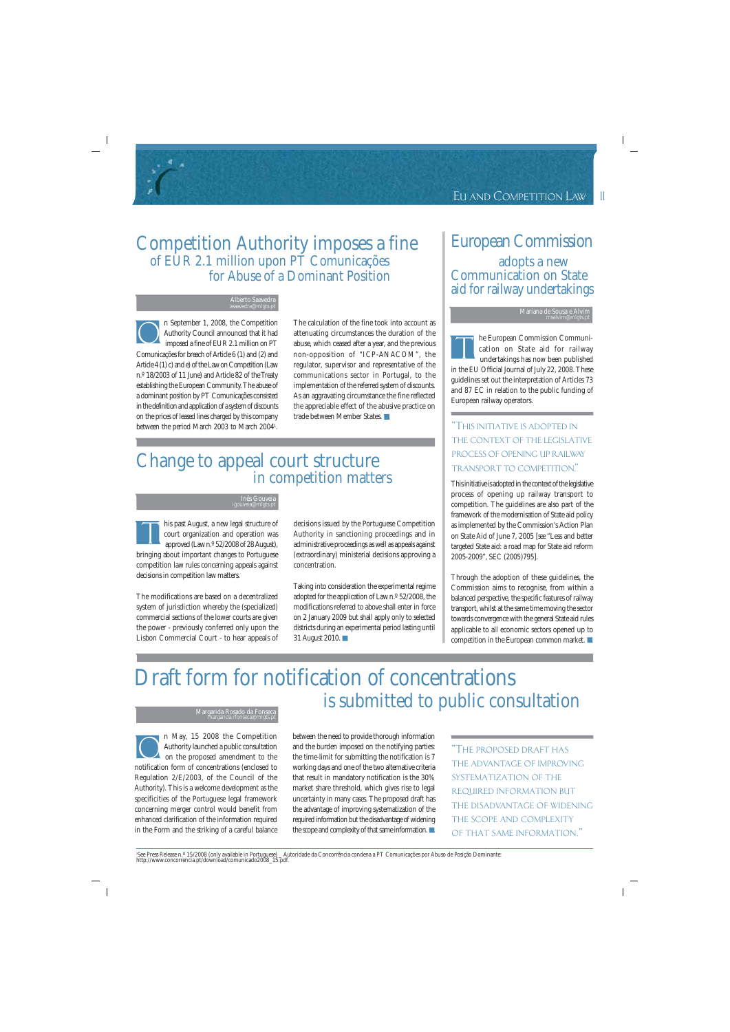### Competition Authority imposes a fine of EUR 2.1 million upon PT Comunicações for Abuse of a Dominant Position

#### Alberto Saavedra asaavedra@mlgts.pt

n September 1, 2008, the Competition Authority Council announced that it had imposed a fine of EUR 2.1 million on PT Comunicações for breach of Article 6 (1) and (2) and Article 4 (1) c) and e) of the Law on Competition (Law n.º 18/2003 of 11 June) and Article 82 of the Treaty establishing the European Community. The abuse of a dominant position by PT Comunicações consisted in the definition and application of a system of discounts on the prices of leased lines charged by this company between the period March 2003 to March 20041 . O

The calculation of the fine took into account as attenuating circumstances the duration of the abuse, which ceased after a year, and the previous non-opposition of "ICP-ANACOM", the regulator, supervisor and representative of the communications sector in Portugal, to the implementation of the referred system of discounts. As an aggravating circumstance the fine reflected the appreciable effect of the abusive practice on trade between Member States.

### Change to appeal court structure in competition matters

#### Inês Gouveia igouveia@mlgts.pt

his past August, a new legal structure of court organization and operation was approved (Law n.º 52/2008 of 28 August), bringing about important changes to Portuguese competition law rules concerning appeals against decisions in competition law matters. T

The modifications are based on a decentralized system of jurisdiction whereby the (specialized) commercial sections of the lower courts are given the power - previously conferred only upon the Lisbon Commercial Court - to hear appeals of decisions issued by the Portuguese Competition Authority in sanctioning proceedings and in administrative proceedings as well as appeals against (extraordinary) ministerial decisions approving a concentration.

Taking into consideration the experimental regime adopted for the application of Law n.º 52/2008, the modifications referred to above shall enter in force on 2 January 2009 but shall apply only to selected districts during an experimental period lasting until 31 August 2010.

### European Commission adopts a new Communication on State aid for railway undertakings

#### Mariana de Sousa e Alvim msalvim@mlgts.pt

he European Commission Communication on State aid for railway undertakings has now been published in the EU Official Journal of July 22, 2008. These guidelines set out the interpretation of Articles 73 and 87 EC in relation to the public funding of European railway operators. **T** 

### "This initiative is adopted in the context of the legislative process of opening up railway transport to competition."

This initiative is adopted in the context of the legislative process of opening up railway transport to competition. The guidelines are also part of the framework of the modernisation of State aid policy as implemented by the Commission's Action Plan on State Aid of June 7, 2005 [*see* "Less and better targeted State aid: a road map for State aid reform 2005-2009", SEC (2005)795].

Through the adoption of these guidelines, the Commission aims to recognise, from within a balanced perspective, the specific features of railway transport, whilst at the same time moving the sector towards convergence with the general State aid rules applicable to all economic sectors opened up to competition in the European common market.

## Draft form for notification of concentrations is submitted to public consultation

### Margarida Rosado da Fonseca

n May, 15 2008 the Competition Authority launched a public consultation on the proposed amendment to the notification form of concentrations (enclosed to Regulation 2/E/2003, of the Council of the Authority). This is a welcome development as the specificities of the Portuguese legal framework concerning merger control would benefit from enhanced clarification of the information required in the Form and the striking of a careful balance O

between the need to provide thorough information and the burden imposed on the notifying parties: the time-limit for submitting the notification is 7 working days and one of the two alternative criteria that result in mandatory notification is the 30% market share threshold, which gives rise to legal uncertainty in many cases. The proposed draft has the advantage of improving systematization of the required information but the disadvantage of widening the scope and complexity of that same information.

"The proposed draft has the advantage of improving systematization of the required information but the disadvantage of widening THE SCOPE AND COMPLEXITY of that same information."

1 See Press Release n.º 15/2008 (only available in Portuguese) \_ Autoridade da Concorrência condena a PT Comunicações por Abuso de Posição Dominante: http://www.concorrencia.pt/download/comunicado2008\_15.pdf.